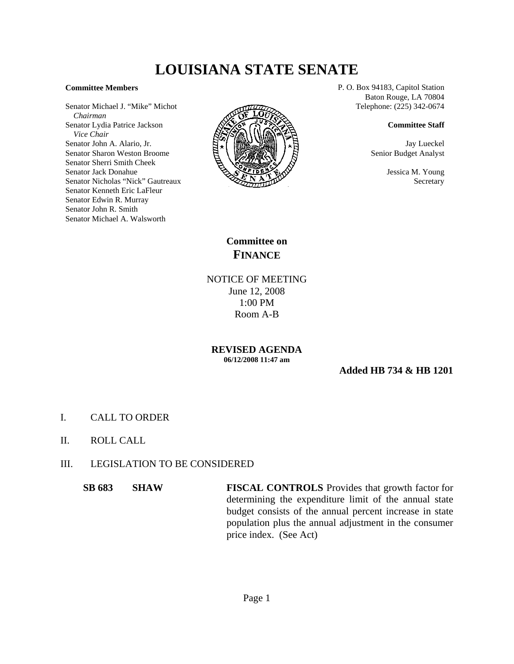## **LOUISIANA STATE SENATE**

## **Committee Members**

Senator Michael J. "Mike" Michot  *Chairman* Senator Lydia Patrice Jackson  *Vice Chair* Senator John A. Alario, Jr. Senator Sharon Weston Broome Senator Sherri Smith Cheek Senator Jack Donahue Senator Nicholas "Nick" Gautreaux Senator Kenneth Eric LaFleur Senator Edwin R. Murray Senator John R. Smith Senator Michael A. Walsworth



P. O. Box 94183, Capitol Station Baton Rouge, LA 70804 Telephone: (225) 342-0674

## **Committee Staff**

Jay Lueckel Senior Budget Analyst

> Jessica M. Young Secretary

**Committee on FINANCE**

NOTICE OF MEETING June 12, 2008 1:00 PM Room A-B

**REVISED AGENDA 06/12/2008 11:47 am**

**Added HB 734 & HB 1201**

- I. CALL TO ORDER
- II. ROLL CALL
- III. LEGISLATION TO BE CONSIDERED

**SB 683 SHAW FISCAL CONTROLS** Provides that growth factor for determining the expenditure limit of the annual state budget consists of the annual percent increase in state population plus the annual adjustment in the consumer price index. (See Act)